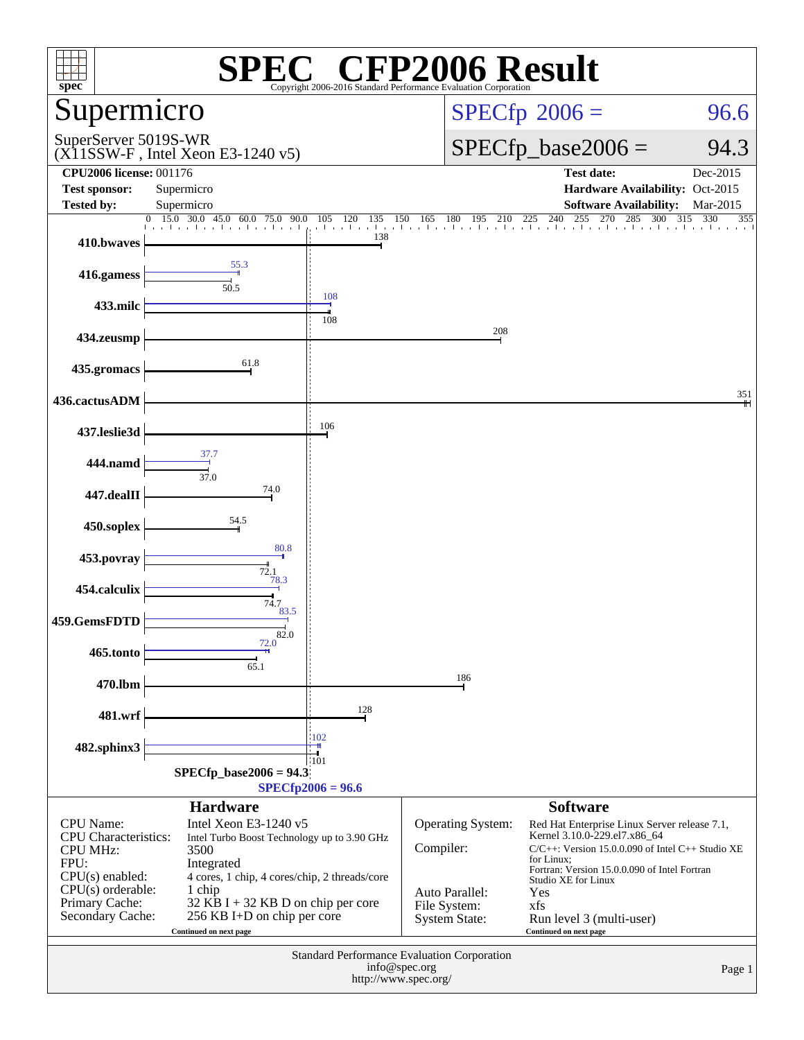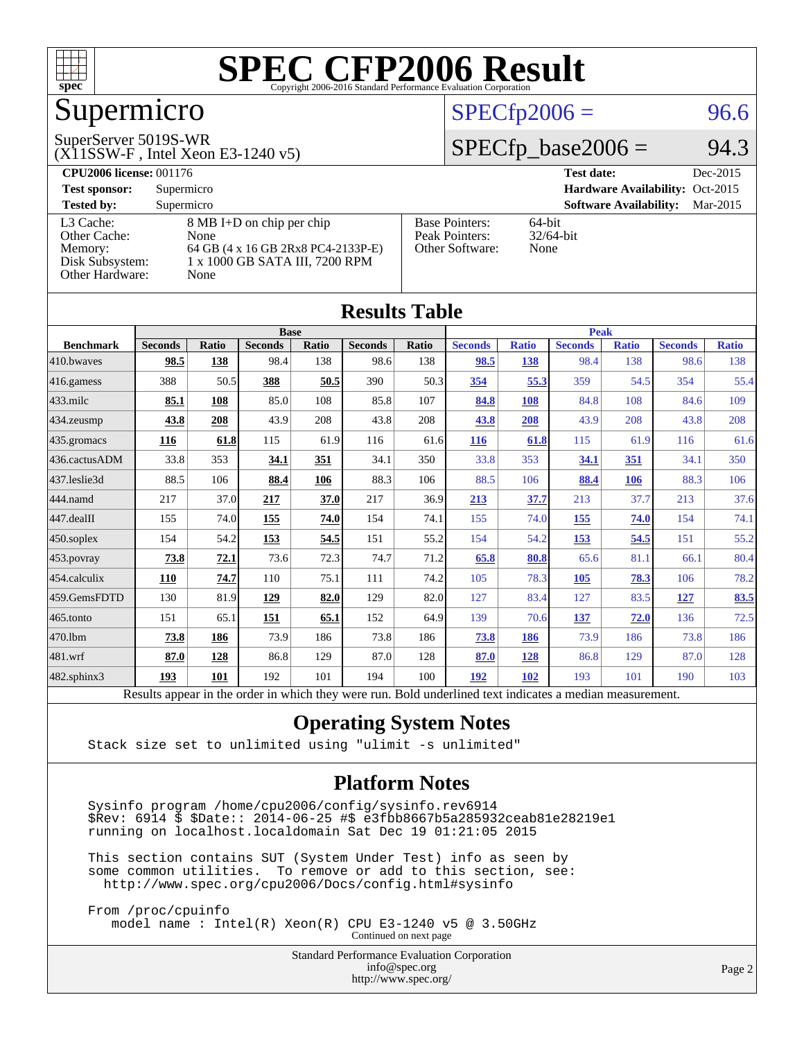

## Supermicro

#### SuperServer 5019S-WR

(X11SSW-F , Intel Xeon E3-1240 v5)

### $SPECfp2006 = 96.6$  $SPECfp2006 = 96.6$

### $SPECTp\_base2006 = 94.3$

| <b>CPU2006 license: 001176</b> |                                    |                       | <b>Test date:</b><br>Dec-2015             |
|--------------------------------|------------------------------------|-----------------------|-------------------------------------------|
| <b>Test sponsor:</b>           | Supermicro                         |                       | Hardware Availability: Oct-2015           |
| <b>Tested by:</b>              | Supermicro                         |                       | <b>Software Availability:</b><br>Mar-2015 |
| L3 Cache:                      | 8 MB I+D on chip per chip          | <b>Base Pointers:</b> | $64$ -bit                                 |
| Other Cache:                   | None                               | Peak Pointers:        | $32/64$ -bit                              |
| Memory:                        | 64 GB (4 x 16 GB 2Rx8 PC4-2133P-E) | Other Software:       | None                                      |
| Disk Subsystem:                | 1 x 1000 GB SATA III, 7200 RPM     |                       |                                           |
| Other Hardware:                | None                               |                       |                                           |

**[Results Table](http://www.spec.org/auto/cpu2006/Docs/result-fields.html#ResultsTable)**

| Results Table    |                                                                                                          |       |                |       |                |       |                |              |                |              |                |              |
|------------------|----------------------------------------------------------------------------------------------------------|-------|----------------|-------|----------------|-------|----------------|--------------|----------------|--------------|----------------|--------------|
|                  | <b>Base</b>                                                                                              |       |                |       | <b>Peak</b>    |       |                |              |                |              |                |              |
| <b>Benchmark</b> | <b>Seconds</b>                                                                                           | Ratio | <b>Seconds</b> | Ratio | <b>Seconds</b> | Ratio | <b>Seconds</b> | <b>Ratio</b> | <b>Seconds</b> | <b>Ratio</b> | <b>Seconds</b> | <b>Ratio</b> |
| 410.bwaves       | 98.5                                                                                                     | 138   | 98.4           | 138   | 98.6           | 138   | 98.5           | 138          | 98.4           | 138          | 98.6           | 138          |
| 416.gamess       | 388                                                                                                      | 50.5  | 388            | 50.5  | 390            | 50.3  | 354            | 55.3         | 359            | 54.5         | 354            | 55.4         |
| $433$ .milc      | 85.1                                                                                                     | 108   | 85.0           | 108   | 85.8           | 107   | 84.8           | 108          | 84.8           | 108          | 84.6           | 109          |
| 434.zeusmp       | 43.8                                                                                                     | 208   | 43.9           | 208   | 43.8           | 208   | 43.8           | 208          | 43.9           | 208          | 43.8           | 208          |
| 435.gromacs      | 116                                                                                                      | 61.8  | 115            | 61.9  | 116            | 61.6  | <b>116</b>     | 61.8         | 115            | 61.9         | 116            | 61.6         |
| 436.cactusADM    | 33.8                                                                                                     | 353   | 34.1           | 351   | 34.1           | 350   | 33.8           | 353          | 34.1           | 351          | 34.1           | 350          |
| 437.leslie3d     | 88.5                                                                                                     | 106   | 88.4           | 106   | 88.3           | 106   | 88.5           | 106          | 88.4           | 106          | 88.3           | 106          |
| 444.namd         | 217                                                                                                      | 37.0  | 217            | 37.0  | 217            | 36.9  | 213            | 37.7         | 213            | 37.7         | 213            | 37.6         |
| $447$ .dealII    | 155                                                                                                      | 74.0  | 155            | 74.0  | 154            | 74.1  | 155            | 74.0         | 155            | 74.0         | 154            | 74.1         |
| $450$ .soplex    | 154                                                                                                      | 54.2  | 153            | 54.5  | 151            | 55.2  | 154            | 54.2         | 153            | 54.5         | 151            | 55.2         |
| 453.povray       | 73.8                                                                                                     | 72.1  | 73.6           | 72.3  | 74.7           | 71.2  | 65.8           | 80.8         | 65.6           | 81.1         | 66.1           | 80.4         |
| 454.calculix     | 110                                                                                                      | 74.7  | 110            | 75.1  | 111            | 74.2  | 105            | 78.3         | <b>105</b>     | 78.3         | 106            | 78.2         |
| 459.GemsFDTD     | 130                                                                                                      | 81.9  | 129            | 82.0  | 129            | 82.0  | 127            | 83.4         | 127            | 83.5         | 127            | 83.5         |
| $465$ .tonto     | 151                                                                                                      | 65.1  | 151            | 65.1  | 152            | 64.9  | 139            | 70.6         | <u>137</u>     | 72.0         | 136            | 72.5         |
| 470.1bm          | 73.8                                                                                                     | 186   | 73.9           | 186   | 73.8           | 186   | 73.8           | 186          | 73.9           | 186          | 73.8           | 186          |
| 481.wrf          | 87.0                                                                                                     | 128   | 86.8           | 129   | 87.0           | 128   | 87.0           | 128          | 86.8           | 129          | 87.0           | 128          |
| 482.sphinx3      | 193                                                                                                      | 101   | 192            | 101   | 194            | 100   | 192            | 102          | 193            | 101          | 190            | 103          |
|                  | Results appear in the order in which they were run. Bold underlined text indicates a median measurement. |       |                |       |                |       |                |              |                |              |                |              |

### **[Operating System Notes](http://www.spec.org/auto/cpu2006/Docs/result-fields.html#OperatingSystemNotes)**

Stack size set to unlimited using "ulimit -s unlimited"

#### **[Platform Notes](http://www.spec.org/auto/cpu2006/Docs/result-fields.html#PlatformNotes)**

 Sysinfo program /home/cpu2006/config/sysinfo.rev6914 \$Rev: 6914 \$ \$Date:: 2014-06-25 #\$ e3fbb8667b5a285932ceab81e28219e1 running on localhost.localdomain Sat Dec 19 01:21:05 2015

 This section contains SUT (System Under Test) info as seen by some common utilities. To remove or add to this section, see: <http://www.spec.org/cpu2006/Docs/config.html#sysinfo>

 From /proc/cpuinfo model name : Intel(R) Xeon(R) CPU E3-1240 v5 @ 3.50GHz Continued on next page

> Standard Performance Evaluation Corporation [info@spec.org](mailto:info@spec.org) <http://www.spec.org/>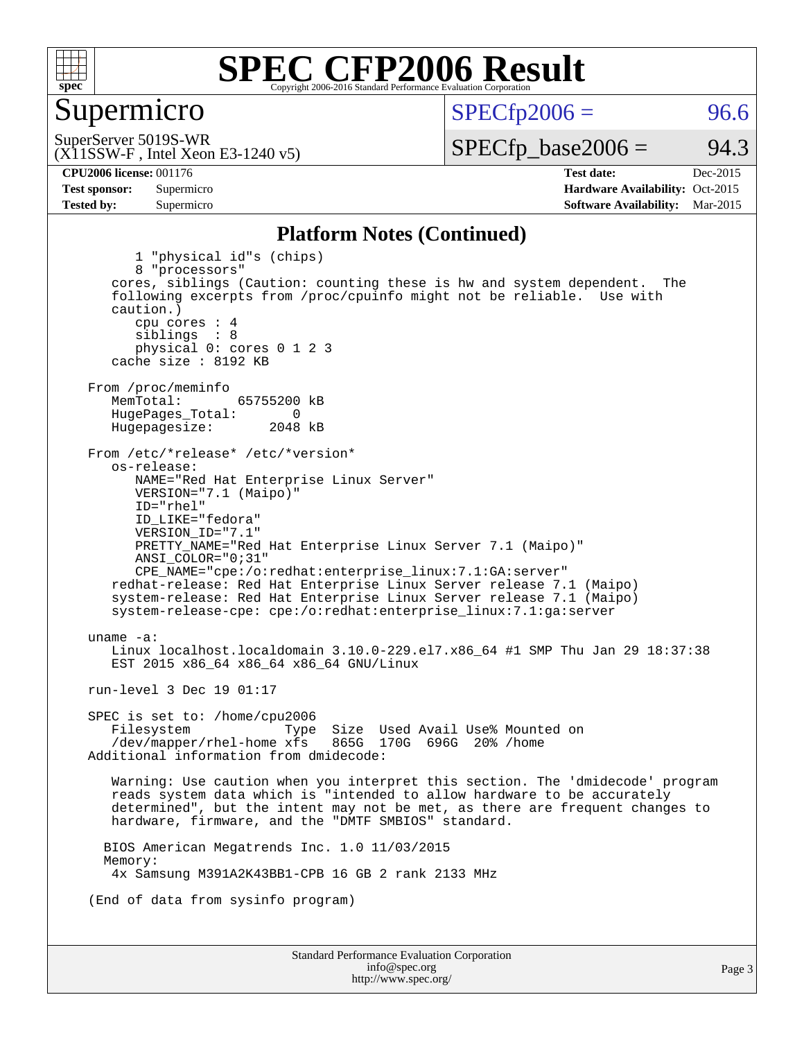

### Supermicro

 $SPECTp2006 = 96.6$ 

(X11SSW-F , Intel Xeon E3-1240 v5) SuperServer 5019S-WR

 $SPECTp\_base2006 = 94.3$ 

**[CPU2006 license:](http://www.spec.org/auto/cpu2006/Docs/result-fields.html#CPU2006license)** 001176 **[Test date:](http://www.spec.org/auto/cpu2006/Docs/result-fields.html#Testdate)** Dec-2015 **[Test sponsor:](http://www.spec.org/auto/cpu2006/Docs/result-fields.html#Testsponsor)** Supermicro Supermicro **[Hardware Availability:](http://www.spec.org/auto/cpu2006/Docs/result-fields.html#HardwareAvailability)** Oct-2015 **[Tested by:](http://www.spec.org/auto/cpu2006/Docs/result-fields.html#Testedby)** Supermicro **Supermicro [Software Availability:](http://www.spec.org/auto/cpu2006/Docs/result-fields.html#SoftwareAvailability)** Mar-2015

#### **[Platform Notes \(Continued\)](http://www.spec.org/auto/cpu2006/Docs/result-fields.html#PlatformNotes)**

Standard Performance Evaluation Corporation [info@spec.org](mailto:info@spec.org) 1 "physical id"s (chips) 8 "processors" cores, siblings (Caution: counting these is hw and system dependent. The following excerpts from /proc/cpuinfo might not be reliable. Use with caution.) cpu cores : 4 siblings : 8 physical 0: cores 0 1 2 3 cache size : 8192 KB From /proc/meminfo<br>MemTotal: 65755200 kB HugePages\_Total: 0<br>Hugepagesize: 2048 kB Hugepagesize: From /etc/\*release\* /etc/\*version\* os-release: NAME="Red Hat Enterprise Linux Server" VERSION="7.1 (Maipo)" ID="rhel" ID\_LIKE="fedora" VERSION\_ID="7.1" PRETTY\_NAME="Red Hat Enterprise Linux Server 7.1 (Maipo)" ANSI\_COLOR="0;31" CPE\_NAME="cpe:/o:redhat:enterprise\_linux:7.1:GA:server" redhat-release: Red Hat Enterprise Linux Server release 7.1 (Maipo) system-release: Red Hat Enterprise Linux Server release 7.1 (Maipo) system-release-cpe: cpe:/o:redhat:enterprise\_linux:7.1:ga:server uname -a: Linux localhost.localdomain 3.10.0-229.el7.x86\_64 #1 SMP Thu Jan 29 18:37:38 EST 2015 x86\_64 x86\_64 x86\_64 GNU/Linux run-level 3 Dec 19 01:17 SPEC is set to: /home/cpu2006 Filesystem Type Size Used Avail Use% Mounted on<br>/dev/mapper/rhel-home xfs 865G 170G 696G 20% /home  $/$ dev/mapper/rhel-home  $x$ fs Additional information from dmidecode: Warning: Use caution when you interpret this section. The 'dmidecode' program reads system data which is "intended to allow hardware to be accurately determined", but the intent may not be met, as there are frequent changes to hardware, firmware, and the "DMTF SMBIOS" standard. BIOS American Megatrends Inc. 1.0 11/03/2015 Memory: 4x Samsung M391A2K43BB1-CPB 16 GB 2 rank 2133 MHz (End of data from sysinfo program)

<http://www.spec.org/>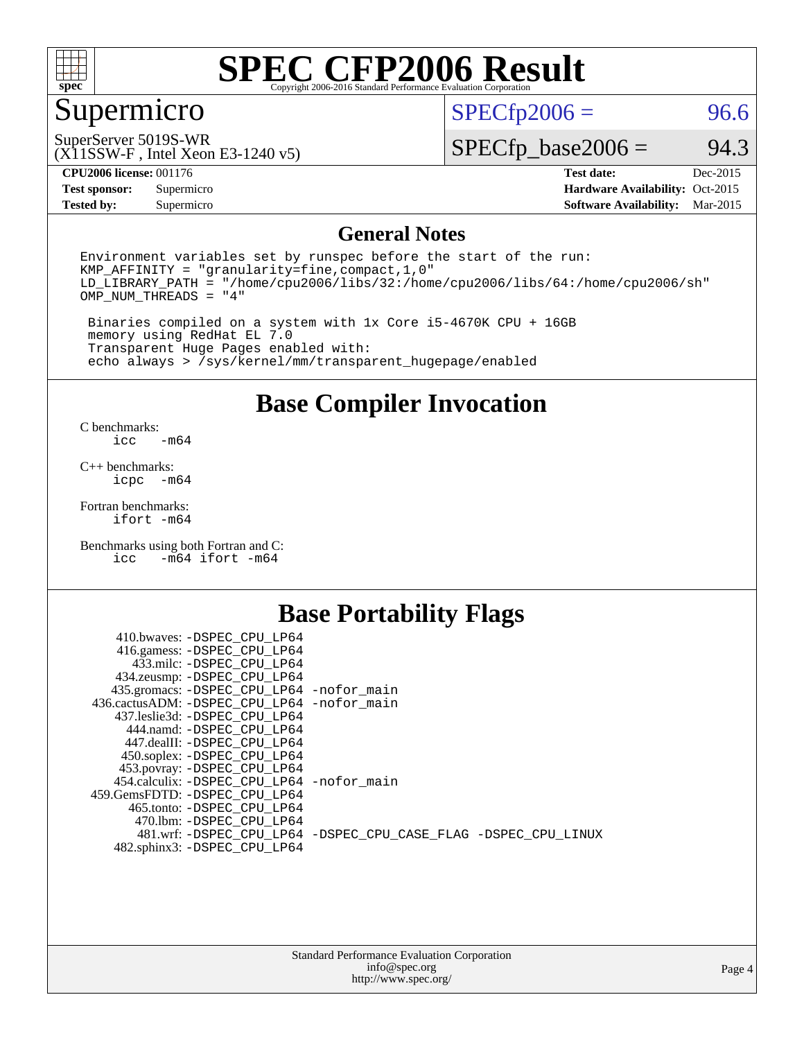

## Supermicro

 $SPECfp2006 = 96.6$  $SPECfp2006 = 96.6$ 

(X11SSW-F , Intel Xeon E3-1240 v5) SuperServer 5019S-WR

 $SPECTp\_base2006 = 94.3$ 

**[CPU2006 license:](http://www.spec.org/auto/cpu2006/Docs/result-fields.html#CPU2006license)** 001176 **[Test date:](http://www.spec.org/auto/cpu2006/Docs/result-fields.html#Testdate)** Dec-2015

**[Test sponsor:](http://www.spec.org/auto/cpu2006/Docs/result-fields.html#Testsponsor)** Supermicro Supermicro **[Hardware Availability:](http://www.spec.org/auto/cpu2006/Docs/result-fields.html#HardwareAvailability)** Oct-2015 **[Tested by:](http://www.spec.org/auto/cpu2006/Docs/result-fields.html#Testedby)** Supermicro **[Software Availability:](http://www.spec.org/auto/cpu2006/Docs/result-fields.html#SoftwareAvailability)** Mar-2015

### **[General Notes](http://www.spec.org/auto/cpu2006/Docs/result-fields.html#GeneralNotes)**

Environment variables set by runspec before the start of the run: KMP\_AFFINITY = "granularity=fine,compact,1,0" LD\_LIBRARY\_PATH = "/home/cpu2006/libs/32:/home/cpu2006/libs/64:/home/cpu2006/sh" OMP\_NUM\_THREADS = "4"

 Binaries compiled on a system with 1x Core i5-4670K CPU + 16GB memory using RedHat EL 7.0 Transparent Huge Pages enabled with: echo always > /sys/kernel/mm/transparent\_hugepage/enabled

**[Base Compiler Invocation](http://www.spec.org/auto/cpu2006/Docs/result-fields.html#BaseCompilerInvocation)**

[C benchmarks](http://www.spec.org/auto/cpu2006/Docs/result-fields.html#Cbenchmarks):  $-m64$ 

[C++ benchmarks:](http://www.spec.org/auto/cpu2006/Docs/result-fields.html#CXXbenchmarks) [icpc -m64](http://www.spec.org/cpu2006/results/res2016q1/cpu2006-20151223-38517.flags.html#user_CXXbase_intel_icpc_64bit_bedb90c1146cab66620883ef4f41a67e)

[Fortran benchmarks](http://www.spec.org/auto/cpu2006/Docs/result-fields.html#Fortranbenchmarks): [ifort -m64](http://www.spec.org/cpu2006/results/res2016q1/cpu2006-20151223-38517.flags.html#user_FCbase_intel_ifort_64bit_ee9d0fb25645d0210d97eb0527dcc06e)

[Benchmarks using both Fortran and C](http://www.spec.org/auto/cpu2006/Docs/result-fields.html#BenchmarksusingbothFortranandC): [icc -m64](http://www.spec.org/cpu2006/results/res2016q1/cpu2006-20151223-38517.flags.html#user_CC_FCbase_intel_icc_64bit_0b7121f5ab7cfabee23d88897260401c) [ifort -m64](http://www.spec.org/cpu2006/results/res2016q1/cpu2006-20151223-38517.flags.html#user_CC_FCbase_intel_ifort_64bit_ee9d0fb25645d0210d97eb0527dcc06e)

## **[Base Portability Flags](http://www.spec.org/auto/cpu2006/Docs/result-fields.html#BasePortabilityFlags)**

| 410.bwaves: -DSPEC CPU LP64                 |                                                                |
|---------------------------------------------|----------------------------------------------------------------|
| 416.gamess: -DSPEC_CPU_LP64                 |                                                                |
| 433.milc: -DSPEC CPU LP64                   |                                                                |
| 434.zeusmp: -DSPEC_CPU_LP64                 |                                                                |
| 435.gromacs: -DSPEC_CPU_LP64 -nofor_main    |                                                                |
| 436.cactusADM: -DSPEC CPU LP64 -nofor main  |                                                                |
| 437.leslie3d: -DSPEC CPU LP64               |                                                                |
| 444.namd: -DSPEC CPU LP64                   |                                                                |
| 447.dealII: -DSPEC CPU LP64                 |                                                                |
| 450.soplex: -DSPEC_CPU_LP64                 |                                                                |
| 453.povray: -DSPEC CPU LP64                 |                                                                |
| 454.calculix: - DSPEC CPU LP64 - nofor main |                                                                |
| 459. GemsFDTD: - DSPEC CPU LP64             |                                                                |
| 465.tonto: - DSPEC CPU LP64                 |                                                                |
| 470.1bm: -DSPEC CPU LP64                    |                                                                |
|                                             | 481.wrf: -DSPEC CPU_LP64 -DSPEC_CPU_CASE_FLAG -DSPEC_CPU_LINUX |
| 482.sphinx3: -DSPEC_CPU_LP64                |                                                                |
|                                             |                                                                |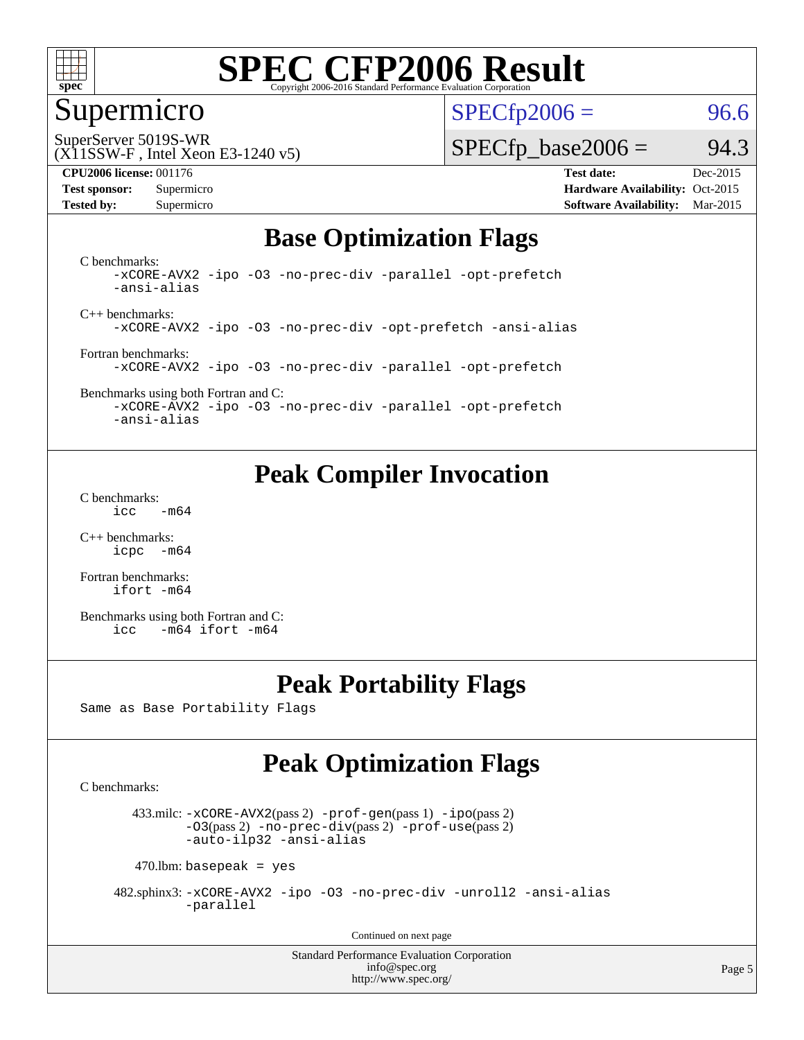

### Supermicro

 $SPECTp2006 = 96.6$ 

SuperServer 5019S-WR

#### (X11SSW-F , Intel Xeon E3-1240 v5)

 $SPECTp\_base2006 = 94.3$ 

**[CPU2006 license:](http://www.spec.org/auto/cpu2006/Docs/result-fields.html#CPU2006license)** 001176 **[Test date:](http://www.spec.org/auto/cpu2006/Docs/result-fields.html#Testdate)** Dec-2015 **[Test sponsor:](http://www.spec.org/auto/cpu2006/Docs/result-fields.html#Testsponsor)** Supermicro Supermicro **[Hardware Availability:](http://www.spec.org/auto/cpu2006/Docs/result-fields.html#HardwareAvailability)** Oct-2015 **[Tested by:](http://www.spec.org/auto/cpu2006/Docs/result-fields.html#Testedby)** Supermicro **Supermicro [Software Availability:](http://www.spec.org/auto/cpu2006/Docs/result-fields.html#SoftwareAvailability)** Mar-2015

## **[Base Optimization Flags](http://www.spec.org/auto/cpu2006/Docs/result-fields.html#BaseOptimizationFlags)**

[C benchmarks](http://www.spec.org/auto/cpu2006/Docs/result-fields.html#Cbenchmarks): [-xCORE-AVX2](http://www.spec.org/cpu2006/results/res2016q1/cpu2006-20151223-38517.flags.html#user_CCbase_f-xAVX2_5f5fc0cbe2c9f62c816d3e45806c70d7) [-ipo](http://www.spec.org/cpu2006/results/res2016q1/cpu2006-20151223-38517.flags.html#user_CCbase_f-ipo) [-O3](http://www.spec.org/cpu2006/results/res2016q1/cpu2006-20151223-38517.flags.html#user_CCbase_f-O3) [-no-prec-div](http://www.spec.org/cpu2006/results/res2016q1/cpu2006-20151223-38517.flags.html#user_CCbase_f-no-prec-div) [-parallel](http://www.spec.org/cpu2006/results/res2016q1/cpu2006-20151223-38517.flags.html#user_CCbase_f-parallel) [-opt-prefetch](http://www.spec.org/cpu2006/results/res2016q1/cpu2006-20151223-38517.flags.html#user_CCbase_f-opt-prefetch) [-ansi-alias](http://www.spec.org/cpu2006/results/res2016q1/cpu2006-20151223-38517.flags.html#user_CCbase_f-ansi-alias)

[C++ benchmarks:](http://www.spec.org/auto/cpu2006/Docs/result-fields.html#CXXbenchmarks) [-xCORE-AVX2](http://www.spec.org/cpu2006/results/res2016q1/cpu2006-20151223-38517.flags.html#user_CXXbase_f-xAVX2_5f5fc0cbe2c9f62c816d3e45806c70d7) [-ipo](http://www.spec.org/cpu2006/results/res2016q1/cpu2006-20151223-38517.flags.html#user_CXXbase_f-ipo) [-O3](http://www.spec.org/cpu2006/results/res2016q1/cpu2006-20151223-38517.flags.html#user_CXXbase_f-O3) [-no-prec-div](http://www.spec.org/cpu2006/results/res2016q1/cpu2006-20151223-38517.flags.html#user_CXXbase_f-no-prec-div) [-opt-prefetch](http://www.spec.org/cpu2006/results/res2016q1/cpu2006-20151223-38517.flags.html#user_CXXbase_f-opt-prefetch) [-ansi-alias](http://www.spec.org/cpu2006/results/res2016q1/cpu2006-20151223-38517.flags.html#user_CXXbase_f-ansi-alias)

[Fortran benchmarks](http://www.spec.org/auto/cpu2006/Docs/result-fields.html#Fortranbenchmarks): [-xCORE-AVX2](http://www.spec.org/cpu2006/results/res2016q1/cpu2006-20151223-38517.flags.html#user_FCbase_f-xAVX2_5f5fc0cbe2c9f62c816d3e45806c70d7) [-ipo](http://www.spec.org/cpu2006/results/res2016q1/cpu2006-20151223-38517.flags.html#user_FCbase_f-ipo) [-O3](http://www.spec.org/cpu2006/results/res2016q1/cpu2006-20151223-38517.flags.html#user_FCbase_f-O3) [-no-prec-div](http://www.spec.org/cpu2006/results/res2016q1/cpu2006-20151223-38517.flags.html#user_FCbase_f-no-prec-div) [-parallel](http://www.spec.org/cpu2006/results/res2016q1/cpu2006-20151223-38517.flags.html#user_FCbase_f-parallel) [-opt-prefetch](http://www.spec.org/cpu2006/results/res2016q1/cpu2006-20151223-38517.flags.html#user_FCbase_f-opt-prefetch)

[Benchmarks using both Fortran and C](http://www.spec.org/auto/cpu2006/Docs/result-fields.html#BenchmarksusingbothFortranandC): [-xCORE-AVX2](http://www.spec.org/cpu2006/results/res2016q1/cpu2006-20151223-38517.flags.html#user_CC_FCbase_f-xAVX2_5f5fc0cbe2c9f62c816d3e45806c70d7) [-ipo](http://www.spec.org/cpu2006/results/res2016q1/cpu2006-20151223-38517.flags.html#user_CC_FCbase_f-ipo) [-O3](http://www.spec.org/cpu2006/results/res2016q1/cpu2006-20151223-38517.flags.html#user_CC_FCbase_f-O3) [-no-prec-div](http://www.spec.org/cpu2006/results/res2016q1/cpu2006-20151223-38517.flags.html#user_CC_FCbase_f-no-prec-div) [-parallel](http://www.spec.org/cpu2006/results/res2016q1/cpu2006-20151223-38517.flags.html#user_CC_FCbase_f-parallel) [-opt-prefetch](http://www.spec.org/cpu2006/results/res2016q1/cpu2006-20151223-38517.flags.html#user_CC_FCbase_f-opt-prefetch)

[-ansi-alias](http://www.spec.org/cpu2006/results/res2016q1/cpu2006-20151223-38517.flags.html#user_CC_FCbase_f-ansi-alias)

## **[Peak Compiler Invocation](http://www.spec.org/auto/cpu2006/Docs/result-fields.html#PeakCompilerInvocation)**

[C benchmarks](http://www.spec.org/auto/cpu2006/Docs/result-fields.html#Cbenchmarks):  $\text{icc}$  -m64

[C++ benchmarks:](http://www.spec.org/auto/cpu2006/Docs/result-fields.html#CXXbenchmarks) [icpc -m64](http://www.spec.org/cpu2006/results/res2016q1/cpu2006-20151223-38517.flags.html#user_CXXpeak_intel_icpc_64bit_bedb90c1146cab66620883ef4f41a67e)

[Fortran benchmarks](http://www.spec.org/auto/cpu2006/Docs/result-fields.html#Fortranbenchmarks): [ifort -m64](http://www.spec.org/cpu2006/results/res2016q1/cpu2006-20151223-38517.flags.html#user_FCpeak_intel_ifort_64bit_ee9d0fb25645d0210d97eb0527dcc06e)

[Benchmarks using both Fortran and C](http://www.spec.org/auto/cpu2006/Docs/result-fields.html#BenchmarksusingbothFortranandC): [icc -m64](http://www.spec.org/cpu2006/results/res2016q1/cpu2006-20151223-38517.flags.html#user_CC_FCpeak_intel_icc_64bit_0b7121f5ab7cfabee23d88897260401c) [ifort -m64](http://www.spec.org/cpu2006/results/res2016q1/cpu2006-20151223-38517.flags.html#user_CC_FCpeak_intel_ifort_64bit_ee9d0fb25645d0210d97eb0527dcc06e)

## **[Peak Portability Flags](http://www.spec.org/auto/cpu2006/Docs/result-fields.html#PeakPortabilityFlags)**

Same as Base Portability Flags

## **[Peak Optimization Flags](http://www.spec.org/auto/cpu2006/Docs/result-fields.html#PeakOptimizationFlags)**

[C benchmarks](http://www.spec.org/auto/cpu2006/Docs/result-fields.html#Cbenchmarks):

 433.milc: [-xCORE-AVX2](http://www.spec.org/cpu2006/results/res2016q1/cpu2006-20151223-38517.flags.html#user_peakPASS2_CFLAGSPASS2_LDFLAGS433_milc_f-xAVX2_5f5fc0cbe2c9f62c816d3e45806c70d7)(pass 2) [-prof-gen](http://www.spec.org/cpu2006/results/res2016q1/cpu2006-20151223-38517.flags.html#user_peakPASS1_CFLAGSPASS1_LDFLAGS433_milc_prof_gen_e43856698f6ca7b7e442dfd80e94a8fc)(pass 1) [-ipo](http://www.spec.org/cpu2006/results/res2016q1/cpu2006-20151223-38517.flags.html#user_peakPASS2_CFLAGSPASS2_LDFLAGS433_milc_f-ipo)(pass 2) [-O3](http://www.spec.org/cpu2006/results/res2016q1/cpu2006-20151223-38517.flags.html#user_peakPASS2_CFLAGSPASS2_LDFLAGS433_milc_f-O3)(pass 2) [-no-prec-div](http://www.spec.org/cpu2006/results/res2016q1/cpu2006-20151223-38517.flags.html#user_peakPASS2_CFLAGSPASS2_LDFLAGS433_milc_f-no-prec-div)(pass 2) [-prof-use](http://www.spec.org/cpu2006/results/res2016q1/cpu2006-20151223-38517.flags.html#user_peakPASS2_CFLAGSPASS2_LDFLAGS433_milc_prof_use_bccf7792157ff70d64e32fe3e1250b55)(pass 2) [-auto-ilp32](http://www.spec.org/cpu2006/results/res2016q1/cpu2006-20151223-38517.flags.html#user_peakCOPTIMIZE433_milc_f-auto-ilp32) [-ansi-alias](http://www.spec.org/cpu2006/results/res2016q1/cpu2006-20151223-38517.flags.html#user_peakCOPTIMIZE433_milc_f-ansi-alias)

 $470$ .lbm: basepeak = yes

 482.sphinx3: [-xCORE-AVX2](http://www.spec.org/cpu2006/results/res2016q1/cpu2006-20151223-38517.flags.html#user_peakOPTIMIZE482_sphinx3_f-xAVX2_5f5fc0cbe2c9f62c816d3e45806c70d7) [-ipo](http://www.spec.org/cpu2006/results/res2016q1/cpu2006-20151223-38517.flags.html#user_peakOPTIMIZE482_sphinx3_f-ipo) [-O3](http://www.spec.org/cpu2006/results/res2016q1/cpu2006-20151223-38517.flags.html#user_peakOPTIMIZE482_sphinx3_f-O3) [-no-prec-div](http://www.spec.org/cpu2006/results/res2016q1/cpu2006-20151223-38517.flags.html#user_peakOPTIMIZE482_sphinx3_f-no-prec-div) [-unroll2](http://www.spec.org/cpu2006/results/res2016q1/cpu2006-20151223-38517.flags.html#user_peakCOPTIMIZE482_sphinx3_f-unroll_784dae83bebfb236979b41d2422d7ec2) [-ansi-alias](http://www.spec.org/cpu2006/results/res2016q1/cpu2006-20151223-38517.flags.html#user_peakCOPTIMIZE482_sphinx3_f-ansi-alias) [-parallel](http://www.spec.org/cpu2006/results/res2016q1/cpu2006-20151223-38517.flags.html#user_peakCOPTIMIZE482_sphinx3_f-parallel)

Continued on next page

Standard Performance Evaluation Corporation [info@spec.org](mailto:info@spec.org) <http://www.spec.org/>

Page 5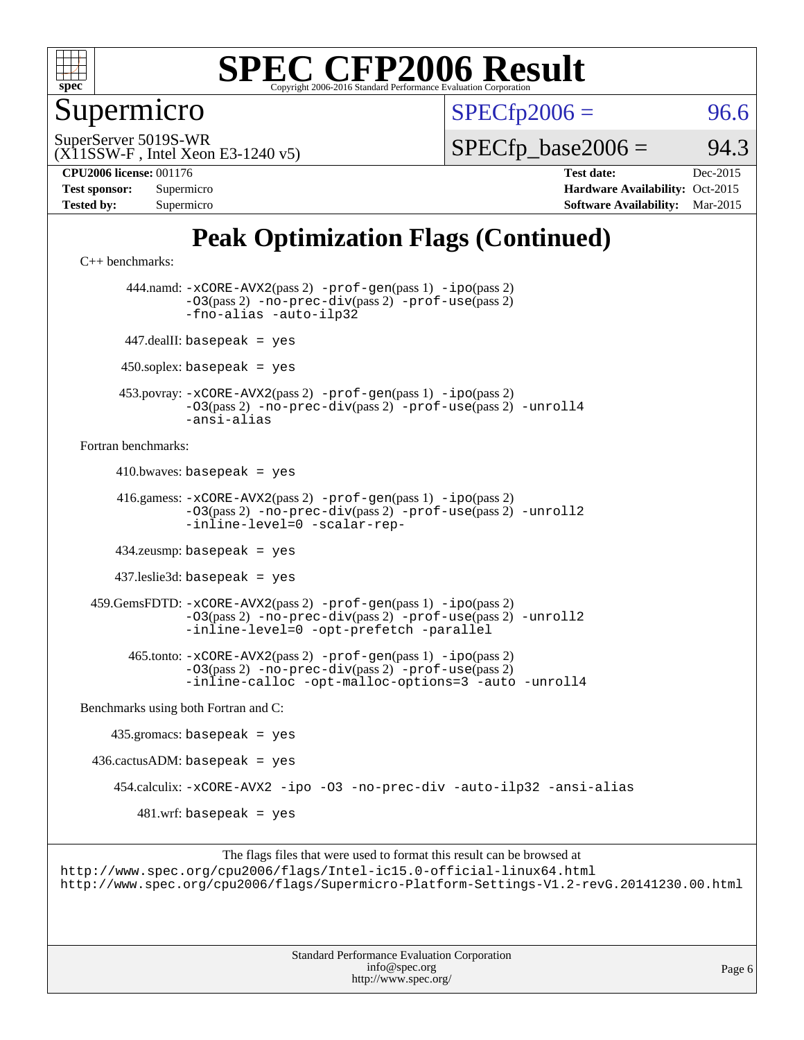

Supermicro

 $SPECTp2006 = 96.6$ 

(X11SSW-F , Intel Xeon E3-1240 v5) SuperServer 5019S-WR

 $SPECTp\_base2006 = 94.3$ 

**[CPU2006 license:](http://www.spec.org/auto/cpu2006/Docs/result-fields.html#CPU2006license)** 001176 **[Test date:](http://www.spec.org/auto/cpu2006/Docs/result-fields.html#Testdate)** Dec-2015

| <b>Test sponsor:</b> | Supermicro |
|----------------------|------------|
| <b>Tested by:</b>    | Supermicro |

**[Hardware Availability:](http://www.spec.org/auto/cpu2006/Docs/result-fields.html#HardwareAvailability)** Oct-2015 **[Software Availability:](http://www.spec.org/auto/cpu2006/Docs/result-fields.html#SoftwareAvailability)** Mar-2015

## **[Peak Optimization Flags \(Continued\)](http://www.spec.org/auto/cpu2006/Docs/result-fields.html#PeakOptimizationFlags)**

[C++ benchmarks:](http://www.spec.org/auto/cpu2006/Docs/result-fields.html#CXXbenchmarks)

 444.namd: [-xCORE-AVX2](http://www.spec.org/cpu2006/results/res2016q1/cpu2006-20151223-38517.flags.html#user_peakPASS2_CXXFLAGSPASS2_LDFLAGS444_namd_f-xAVX2_5f5fc0cbe2c9f62c816d3e45806c70d7)(pass 2) [-prof-gen](http://www.spec.org/cpu2006/results/res2016q1/cpu2006-20151223-38517.flags.html#user_peakPASS1_CXXFLAGSPASS1_LDFLAGS444_namd_prof_gen_e43856698f6ca7b7e442dfd80e94a8fc)(pass 1) [-ipo](http://www.spec.org/cpu2006/results/res2016q1/cpu2006-20151223-38517.flags.html#user_peakPASS2_CXXFLAGSPASS2_LDFLAGS444_namd_f-ipo)(pass 2) [-O3](http://www.spec.org/cpu2006/results/res2016q1/cpu2006-20151223-38517.flags.html#user_peakPASS2_CXXFLAGSPASS2_LDFLAGS444_namd_f-O3)(pass 2) [-no-prec-div](http://www.spec.org/cpu2006/results/res2016q1/cpu2006-20151223-38517.flags.html#user_peakPASS2_CXXFLAGSPASS2_LDFLAGS444_namd_f-no-prec-div)(pass 2) [-prof-use](http://www.spec.org/cpu2006/results/res2016q1/cpu2006-20151223-38517.flags.html#user_peakPASS2_CXXFLAGSPASS2_LDFLAGS444_namd_prof_use_bccf7792157ff70d64e32fe3e1250b55)(pass 2) [-fno-alias](http://www.spec.org/cpu2006/results/res2016q1/cpu2006-20151223-38517.flags.html#user_peakCXXOPTIMIZEOPTIMIZE444_namd_f-no-alias_694e77f6c5a51e658e82ccff53a9e63a) [-auto-ilp32](http://www.spec.org/cpu2006/results/res2016q1/cpu2006-20151223-38517.flags.html#user_peakCXXOPTIMIZE444_namd_f-auto-ilp32) 447.dealII: basepeak = yes  $450$ .soplex: basepeak = yes 453.povray: [-xCORE-AVX2](http://www.spec.org/cpu2006/results/res2016q1/cpu2006-20151223-38517.flags.html#user_peakPASS2_CXXFLAGSPASS2_LDFLAGS453_povray_f-xAVX2_5f5fc0cbe2c9f62c816d3e45806c70d7)(pass 2) [-prof-gen](http://www.spec.org/cpu2006/results/res2016q1/cpu2006-20151223-38517.flags.html#user_peakPASS1_CXXFLAGSPASS1_LDFLAGS453_povray_prof_gen_e43856698f6ca7b7e442dfd80e94a8fc)(pass 1) [-ipo](http://www.spec.org/cpu2006/results/res2016q1/cpu2006-20151223-38517.flags.html#user_peakPASS2_CXXFLAGSPASS2_LDFLAGS453_povray_f-ipo)(pass 2) [-O3](http://www.spec.org/cpu2006/results/res2016q1/cpu2006-20151223-38517.flags.html#user_peakPASS2_CXXFLAGSPASS2_LDFLAGS453_povray_f-O3)(pass 2) [-no-prec-div](http://www.spec.org/cpu2006/results/res2016q1/cpu2006-20151223-38517.flags.html#user_peakPASS2_CXXFLAGSPASS2_LDFLAGS453_povray_f-no-prec-div)(pass 2) [-prof-use](http://www.spec.org/cpu2006/results/res2016q1/cpu2006-20151223-38517.flags.html#user_peakPASS2_CXXFLAGSPASS2_LDFLAGS453_povray_prof_use_bccf7792157ff70d64e32fe3e1250b55)(pass 2) [-unroll4](http://www.spec.org/cpu2006/results/res2016q1/cpu2006-20151223-38517.flags.html#user_peakCXXOPTIMIZE453_povray_f-unroll_4e5e4ed65b7fd20bdcd365bec371b81f) [-ansi-alias](http://www.spec.org/cpu2006/results/res2016q1/cpu2006-20151223-38517.flags.html#user_peakCXXOPTIMIZE453_povray_f-ansi-alias) [Fortran benchmarks](http://www.spec.org/auto/cpu2006/Docs/result-fields.html#Fortranbenchmarks):  $410.bwaves: basepeak = yes$  416.gamess: [-xCORE-AVX2](http://www.spec.org/cpu2006/results/res2016q1/cpu2006-20151223-38517.flags.html#user_peakPASS2_FFLAGSPASS2_LDFLAGS416_gamess_f-xAVX2_5f5fc0cbe2c9f62c816d3e45806c70d7)(pass 2) [-prof-gen](http://www.spec.org/cpu2006/results/res2016q1/cpu2006-20151223-38517.flags.html#user_peakPASS1_FFLAGSPASS1_LDFLAGS416_gamess_prof_gen_e43856698f6ca7b7e442dfd80e94a8fc)(pass 1) [-ipo](http://www.spec.org/cpu2006/results/res2016q1/cpu2006-20151223-38517.flags.html#user_peakPASS2_FFLAGSPASS2_LDFLAGS416_gamess_f-ipo)(pass 2) [-O3](http://www.spec.org/cpu2006/results/res2016q1/cpu2006-20151223-38517.flags.html#user_peakPASS2_FFLAGSPASS2_LDFLAGS416_gamess_f-O3)(pass 2) [-no-prec-div](http://www.spec.org/cpu2006/results/res2016q1/cpu2006-20151223-38517.flags.html#user_peakPASS2_FFLAGSPASS2_LDFLAGS416_gamess_f-no-prec-div)(pass 2) [-prof-use](http://www.spec.org/cpu2006/results/res2016q1/cpu2006-20151223-38517.flags.html#user_peakPASS2_FFLAGSPASS2_LDFLAGS416_gamess_prof_use_bccf7792157ff70d64e32fe3e1250b55)(pass 2) [-unroll2](http://www.spec.org/cpu2006/results/res2016q1/cpu2006-20151223-38517.flags.html#user_peakOPTIMIZE416_gamess_f-unroll_784dae83bebfb236979b41d2422d7ec2) [-inline-level=0](http://www.spec.org/cpu2006/results/res2016q1/cpu2006-20151223-38517.flags.html#user_peakOPTIMIZE416_gamess_f-inline-level_318d07a09274ad25e8d15dbfaa68ba50) [-scalar-rep-](http://www.spec.org/cpu2006/results/res2016q1/cpu2006-20151223-38517.flags.html#user_peakOPTIMIZE416_gamess_f-disablescalarrep_abbcad04450fb118e4809c81d83c8a1d) 434.zeusmp: basepeak = yes 437.leslie3d: basepeak = yes 459.GemsFDTD: [-xCORE-AVX2](http://www.spec.org/cpu2006/results/res2016q1/cpu2006-20151223-38517.flags.html#user_peakPASS2_FFLAGSPASS2_LDFLAGS459_GemsFDTD_f-xAVX2_5f5fc0cbe2c9f62c816d3e45806c70d7)(pass 2) [-prof-gen](http://www.spec.org/cpu2006/results/res2016q1/cpu2006-20151223-38517.flags.html#user_peakPASS1_FFLAGSPASS1_LDFLAGS459_GemsFDTD_prof_gen_e43856698f6ca7b7e442dfd80e94a8fc)(pass 1) [-ipo](http://www.spec.org/cpu2006/results/res2016q1/cpu2006-20151223-38517.flags.html#user_peakPASS2_FFLAGSPASS2_LDFLAGS459_GemsFDTD_f-ipo)(pass 2) [-O3](http://www.spec.org/cpu2006/results/res2016q1/cpu2006-20151223-38517.flags.html#user_peakPASS2_FFLAGSPASS2_LDFLAGS459_GemsFDTD_f-O3)(pass 2) [-no-prec-div](http://www.spec.org/cpu2006/results/res2016q1/cpu2006-20151223-38517.flags.html#user_peakPASS2_FFLAGSPASS2_LDFLAGS459_GemsFDTD_f-no-prec-div)(pass 2) [-prof-use](http://www.spec.org/cpu2006/results/res2016q1/cpu2006-20151223-38517.flags.html#user_peakPASS2_FFLAGSPASS2_LDFLAGS459_GemsFDTD_prof_use_bccf7792157ff70d64e32fe3e1250b55)(pass 2) [-unroll2](http://www.spec.org/cpu2006/results/res2016q1/cpu2006-20151223-38517.flags.html#user_peakOPTIMIZE459_GemsFDTD_f-unroll_784dae83bebfb236979b41d2422d7ec2) [-inline-level=0](http://www.spec.org/cpu2006/results/res2016q1/cpu2006-20151223-38517.flags.html#user_peakOPTIMIZE459_GemsFDTD_f-inline-level_318d07a09274ad25e8d15dbfaa68ba50) [-opt-prefetch](http://www.spec.org/cpu2006/results/res2016q1/cpu2006-20151223-38517.flags.html#user_peakOPTIMIZE459_GemsFDTD_f-opt-prefetch) [-parallel](http://www.spec.org/cpu2006/results/res2016q1/cpu2006-20151223-38517.flags.html#user_peakOPTIMIZE459_GemsFDTD_f-parallel) 465.tonto: [-xCORE-AVX2](http://www.spec.org/cpu2006/results/res2016q1/cpu2006-20151223-38517.flags.html#user_peakPASS2_FFLAGSPASS2_LDFLAGS465_tonto_f-xAVX2_5f5fc0cbe2c9f62c816d3e45806c70d7)(pass 2) [-prof-gen](http://www.spec.org/cpu2006/results/res2016q1/cpu2006-20151223-38517.flags.html#user_peakPASS1_FFLAGSPASS1_LDFLAGS465_tonto_prof_gen_e43856698f6ca7b7e442dfd80e94a8fc)(pass 1) [-ipo](http://www.spec.org/cpu2006/results/res2016q1/cpu2006-20151223-38517.flags.html#user_peakPASS2_FFLAGSPASS2_LDFLAGS465_tonto_f-ipo)(pass 2) [-O3](http://www.spec.org/cpu2006/results/res2016q1/cpu2006-20151223-38517.flags.html#user_peakPASS2_FFLAGSPASS2_LDFLAGS465_tonto_f-O3)(pass 2) [-no-prec-div](http://www.spec.org/cpu2006/results/res2016q1/cpu2006-20151223-38517.flags.html#user_peakPASS2_FFLAGSPASS2_LDFLAGS465_tonto_f-no-prec-div)(pass 2) [-prof-use](http://www.spec.org/cpu2006/results/res2016q1/cpu2006-20151223-38517.flags.html#user_peakPASS2_FFLAGSPASS2_LDFLAGS465_tonto_prof_use_bccf7792157ff70d64e32fe3e1250b55)(pass 2) [-inline-calloc](http://www.spec.org/cpu2006/results/res2016q1/cpu2006-20151223-38517.flags.html#user_peakOPTIMIZE465_tonto_f-inline-calloc) [-opt-malloc-options=3](http://www.spec.org/cpu2006/results/res2016q1/cpu2006-20151223-38517.flags.html#user_peakOPTIMIZE465_tonto_f-opt-malloc-options_13ab9b803cf986b4ee62f0a5998c2238) [-auto](http://www.spec.org/cpu2006/results/res2016q1/cpu2006-20151223-38517.flags.html#user_peakOPTIMIZE465_tonto_f-auto) [-unroll4](http://www.spec.org/cpu2006/results/res2016q1/cpu2006-20151223-38517.flags.html#user_peakOPTIMIZE465_tonto_f-unroll_4e5e4ed65b7fd20bdcd365bec371b81f) [Benchmarks using both Fortran and C](http://www.spec.org/auto/cpu2006/Docs/result-fields.html#BenchmarksusingbothFortranandC): 435.gromacs: basepeak = yes  $436.cactusADM:basepeak = yes$  454.calculix: [-xCORE-AVX2](http://www.spec.org/cpu2006/results/res2016q1/cpu2006-20151223-38517.flags.html#user_peakOPTIMIZE454_calculix_f-xAVX2_5f5fc0cbe2c9f62c816d3e45806c70d7) [-ipo](http://www.spec.org/cpu2006/results/res2016q1/cpu2006-20151223-38517.flags.html#user_peakOPTIMIZE454_calculix_f-ipo) [-O3](http://www.spec.org/cpu2006/results/res2016q1/cpu2006-20151223-38517.flags.html#user_peakOPTIMIZE454_calculix_f-O3) [-no-prec-div](http://www.spec.org/cpu2006/results/res2016q1/cpu2006-20151223-38517.flags.html#user_peakOPTIMIZE454_calculix_f-no-prec-div) [-auto-ilp32](http://www.spec.org/cpu2006/results/res2016q1/cpu2006-20151223-38517.flags.html#user_peakCOPTIMIZE454_calculix_f-auto-ilp32) [-ansi-alias](http://www.spec.org/cpu2006/results/res2016q1/cpu2006-20151223-38517.flags.html#user_peakCOPTIMIZE454_calculix_f-ansi-alias)  $481.$ wrf: basepeak = yes

The flags files that were used to format this result can be browsed at <http://www.spec.org/cpu2006/flags/Intel-ic15.0-official-linux64.html> <http://www.spec.org/cpu2006/flags/Supermicro-Platform-Settings-V1.2-revG.20141230.00.html>

> Standard Performance Evaluation Corporation [info@spec.org](mailto:info@spec.org) <http://www.spec.org/>